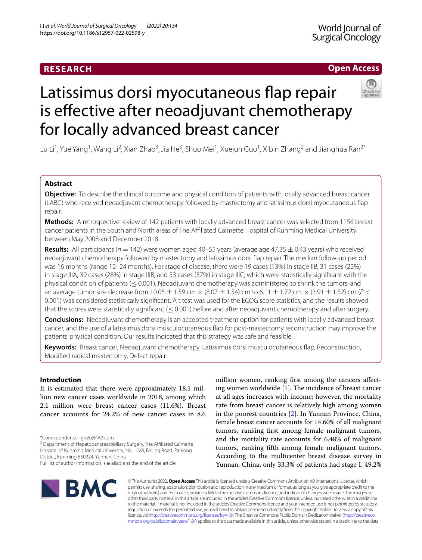# **RESEARCH**

# **Open Access**

# Latissimus dorsi myocutaneous fap repair is effective after neoadjuvant chemotherapy for locally advanced breast cancer

Lu Li<sup>1</sup>, Yue Yang<sup>1</sup>, Wang Li<sup>2</sup>, Xian Zhao<sup>3</sup>, Jia He<sup>3</sup>, Shuo Mei<sup>1</sup>, Xuejun Guo<sup>1</sup>, Xibin Zhang<sup>2</sup> and Jianghua Ran<sup>2\*</sup>

# **Abstract**

**Objective:** To describe the clinical outcome and physical condition of patients with locally advanced breast cancer (LABC) who received neoadjuvant chemotherapy followed by mastectomy and latissimus dorsi myocutaneous fap repair.

**Methods:** A retrospective review of 142 patients with locally advanced breast cancer was selected from 1156 breast cancer patients in the South and North areas of The Afliated Calmette Hospital of Kunming Medical University between May 2008 and December 2018.

**Results:** All participants ( $n = 142$ ) were women aged 40–55 years (average age 47.35  $\pm$  0.43 years) who received neoadjuvant chemotherapy followed by mastectomy and latissimus dorsi fap repair. The median follow-up period was 16 months (range 12–24 months). For stage of disease, there were 19 cases (13%) in stage IIB, 31 cases (22%) in stage IIIA, 39 cases (28%) in stage IIIB, and 53 cases (37%) in stage IIIC, which were statistically signifcant with the physical condition of patients ( $\leq 0.001$ ). Neoadjuvant chemotherapy was administered to shrink the tumors, and an average tumor size decrease from  $10.05 \pm 1.59$  cm  $\times$  (8.07  $\pm$  1.54) cm to 6.11  $\pm$  1.72 cm  $\times$  (3.91  $\pm$  1.52) cm (*P* < 0.001) was considered statistically signifcant. A t test was used for the ECOG score statistics, and the results showed that the scores were statistically significant ( $\leq$  0.001) before and after neoadjuvant chemotherapy and after surgery.

**Conclusions:** Neoadjuvant chemotherapy is an accepted treatment option for patients with locally advanced breast cancer, and the use of a latissimus dorsi musculocutaneous fap for post-mastectomy reconstruction may improve the patients' physical condition. Our results indicated that this strategy was safe and feasible.

**Keywords:** Breast cancer, Neoadjuvant chemotherapy, Latissimus dorsi musculocutaneous fap, Reconstruction, Modifed radical mastectomy, Defect repair

# **Introduction**

It is estimated that there were approximately 18.1 million new cancer cases worldwide in 2018, among which 2.1 million were breast cancer cases (11.6%). Breast cancer accounts for 24.2% of new cancer cases in 8.6

million women, ranking frst among the cancers afecting women worldwide  $[1]$  $[1]$ . The incidence of breast cancer at all ages increases with income; however, the mortality rate from breast cancer is relatively high among women in the poorest countries [\[2](#page-8-1)]. In Yunnan Province, China, female breast cancer accounts for 14.60% of all malignant tumors, ranking frst among female malignant tumors, and the mortality rate accounts for 6.48% of malignant tumors, ranking ffth among female malignant tumors. According to the multicenter breast disease survey in Yunnan, China, only 33.3% of patients had stage I, 49.2%



© The Author(s) 2022. **Open Access** This article is licensed under a Creative Commons Attribution 4.0 International License, which permits use, sharing, adaptation, distribution and reproduction in any medium or format, as long as you give appropriate credit to the original author(s) and the source, provide a link to the Creative Commons licence, and indicate if changes were made. The images or other third party material in this article are included in the article's Creative Commons licence, unless indicated otherwise in a credit line to the material. If material is not included in the article's Creative Commons licence and your intended use is not permitted by statutory regulation or exceeds the permitted use, you will need to obtain permission directly from the copyright holder. To view a copy of this licence, visi[thttp://creativecommons.org/licenses/by/4.0/](http://creativecommons.org/licenses/by/4.0/). The Creative Commons Public Domain Dedication waiver [\(http://creativeco](http://creativecommons.org/publicdomain/zero/1.0/) [mmons.org/publicdomain/zero/1.0/](http://creativecommons.org/publicdomain/zero/1.0/)) applies to the data made available in this article, unless otherwise stated in a credit line to the data.

<sup>\*</sup>Correspondence: rjh2u@163.com

<sup>&</sup>lt;sup>2</sup> Department of Hepatopancreatobiliary Surgery, The Affiliated Calmette Hospital of Kunming Medical University, No. 1228, Beijing Road, Panlong District, Kunming 650224, Yunnan, China

Full list of author information is available at the end of the article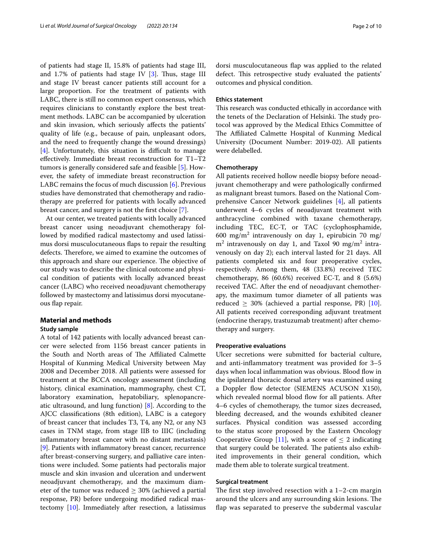of patients had stage II, 15.8% of patients had stage III, and 1.7% of patients had stage IV  $[3]$  $[3]$ . Thus, stage III and stage IV breast cancer patients still account for a large proportion. For the treatment of patients with LABC, there is still no common expert consensus, which requires clinicians to constantly explore the best treatment methods. LABC can be accompanied by ulceration and skin invasion, which seriously afects the patients' quality of life (e.g., because of pain, unpleasant odors, and the need to frequently change the wound dressings)  $[4]$  $[4]$ . Unfortunately, this situation is difficult to manage efectively. Immediate breast reconstruction for T1–T2 tumors is generally considered safe and feasible [[5\]](#page-8-4). However, the safety of immediate breast reconstruction for LABC remains the focus of much discussion [[6](#page-8-5)]. Previous studies have demonstrated that chemotherapy and radiotherapy are preferred for patients with locally advanced breast cancer, and surgery is not the frst choice [[7\]](#page-8-6).

At our center, we treated patients with locally advanced breast cancer using neoadjuvant chemotherapy followed by modifed radical mastectomy and used latissimus dorsi musculocutaneous faps to repair the resulting defects. Therefore, we aimed to examine the outcomes of this approach and share our experience. The objective of our study was to describe the clinical outcome and physical condition of patients with locally advanced breast cancer (LABC) who received neoadjuvant chemotherapy followed by mastectomy and latissimus dorsi myocutaneous fap repair.

# **Material and methods**

## **Study sample**

A total of 142 patients with locally advanced breast cancer were selected from 1156 breast cancer patients in the South and North areas of The Affiliated Calmette Hospital of Kunming Medical University between May 2008 and December 2018. All patients were assessed for treatment at the BCCA oncology assessment (including history, clinical examination, mammography, chest CT, laboratory examination, hepatobiliary, splenopancreatic ultrasound, and lung function) [\[8](#page-8-7)]. According to the AJCC classifcations (8th edition), LABC is a category of breast cancer that includes T3, T4, any N2, or any N3 cases in TNM stage, from stage IIB to IIIC (including infammatory breast cancer with no distant metastasis) [[9\]](#page-8-8). Patients with infammatory breast cancer, recurrence after breast-conserving surgery, and palliative care intentions were included. Some patients had pectoralis major muscle and skin invasion and ulceration and underwent neoadjuvant chemotherapy, and the maximum diameter of the tumor was reduced  $\geq$  30% (achieved a partial response, PR) before undergoing modifed radical mastectomy [[10](#page-8-9)]. Immediately after resection, a latissimus dorsi musculocutaneous fap was applied to the related defect. This retrospective study evaluated the patients' outcomes and physical condition.

### **Ethics statement**

This research was conducted ethically in accordance with the tenets of the Declaration of Helsinki. The study protocol was approved by the Medical Ethics Committee of The Affiliated Calmette Hospital of Kunming Medical University (Document Number: 2019-02). All patients were delabelled.

### **Chemotherapy**

All patients received hollow needle biopsy before neoadjuvant chemotherapy and were pathologically confrmed as malignant breast tumors. Based on the National Comprehensive Cancer Network guidelines [[4\]](#page-8-3), all patients underwent 4–6 cycles of neoadjuvant treatment with anthracycline combined with taxane chemotherapy, including TEC, EC-T, or TAC (cyclophosphamide, 600 mg/m<sup>2</sup> intravenously on day 1, epirubicin 70 mg/  $m<sup>2</sup>$  intravenously on day 1, and Taxol 90 mg/m<sup>2</sup> intravenously on day 2); each interval lasted for 21 days. All patients completed six and four preoperative cycles, respectively. Among them, 48 (33.8%) received TEC chemotherapy, 86 (60.6%) received EC-T, and 8 (5.6%) received TAC. After the end of neoadjuvant chemotherapy, the maximum tumor diameter of all patients was reduced  $\geq$  30% (achieved a partial response, PR) [\[10](#page-8-9)]. All patients received corresponding adjuvant treatment (endocrine therapy, trastuzumab treatment) after chemotherapy and surgery.

### **Preoperative evaluations**

Ulcer secretions were submitted for bacterial culture, and anti-infammatory treatment was provided for 3–5 days when local inflammation was obvious. Blood flow in the ipsilateral thoracic dorsal artery was examined using a Doppler flow detector (SIEMENS ACUSON X150), which revealed normal blood flow for all patients. After 4–6 cycles of chemotherapy, the tumor sizes decreased, bleeding decreased, and the wounds exhibited cleaner surfaces. Physical condition was assessed according to the status score proposed by the Eastern Oncology Cooperative Group [\[11\]](#page-8-10), with a score of  $\leq 2$  indicating that surgery could be tolerated. The patients also exhibited improvements in their general condition, which made them able to tolerate surgical treatment.

### **Surgical treatment**

The first step involved resection with a  $1-2$ -cm margin around the ulcers and any surrounding skin lesions. The fap was separated to preserve the subdermal vascular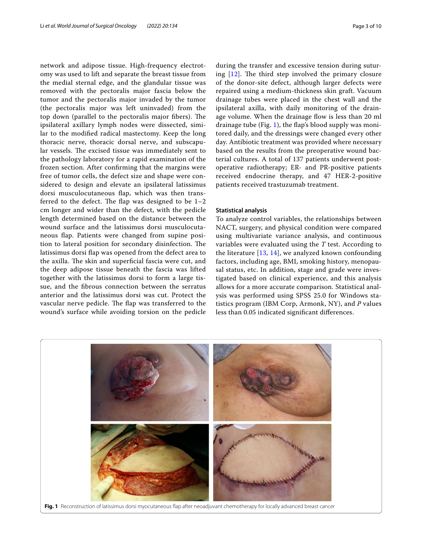network and adipose tissue. High-frequency electrotomy was used to lift and separate the breast tissue from the medial sternal edge, and the glandular tissue was removed with the pectoralis major fascia below the tumor and the pectoralis major invaded by the tumor (the pectoralis major was left uninvaded) from the top down (parallel to the pectoralis major fibers). The ipsilateral axillary lymph nodes were dissected, similar to the modifed radical mastectomy. Keep the long thoracic nerve, thoracic dorsal nerve, and subscapular vessels. The excised tissue was immediately sent to the pathology laboratory for a rapid examination of the frozen section. After confrming that the margins were free of tumor cells, the defect size and shape were considered to design and elevate an ipsilateral latissimus dorsi musculocutaneous fap, which was then transferred to the defect. The flap was designed to be  $1-2$ cm longer and wider than the defect, with the pedicle length determined based on the distance between the wound surface and the latissimus dorsi musculocutaneous fap. Patients were changed from supine position to lateral position for secondary disinfection. The latissimus dorsi fap was opened from the defect area to the axilla. The skin and superficial fascia were cut, and the deep adipose tissue beneath the fascia was lifted together with the latissimus dorsi to form a large tissue, and the fbrous connection between the serratus anterior and the latissimus dorsi was cut. Protect the vascular nerve pedicle. The flap was transferred to the wound's surface while avoiding torsion on the pedicle during the transfer and excessive tension during suturing  $[12]$  $[12]$ . The third step involved the primary closure of the donor-site defect, although larger defects were repaired using a medium-thickness skin graft. Vacuum drainage tubes were placed in the chest wall and the ipsilateral axilla, with daily monitoring of the drainage volume. When the drainage flow is less than 20 ml drainage tube (Fig. [1\)](#page-2-0), the fap's blood supply was monitored daily, and the dressings were changed every other day. Antibiotic treatment was provided where necessary based on the results from the preoperative wound bacterial cultures. A total of 137 patients underwent postoperative radiotherapy; ER- and PR-positive patients received endocrine therapy, and 47 HER-2-positive patients received trastuzumab treatment.

### **Statistical analysis**

To analyze control variables, the relationships between NACT, surgery, and physical condition were compared using multivariate variance analysis, and continuous variables were evaluated using the *T* test. According to the literature [[13](#page-8-12), [14](#page-8-13)], we analyzed known confounding factors, including age, BMI, smoking history, menopausal status, etc. In addition, stage and grade were investigated based on clinical experience, and this analysis allows for a more accurate comparison. Statistical analysis was performed using SPSS 25.0 for Windows statistics program (IBM Corp, Armonk, NY), and *P* values less than 0.05 indicated signifcant diferences.

<span id="page-2-0"></span>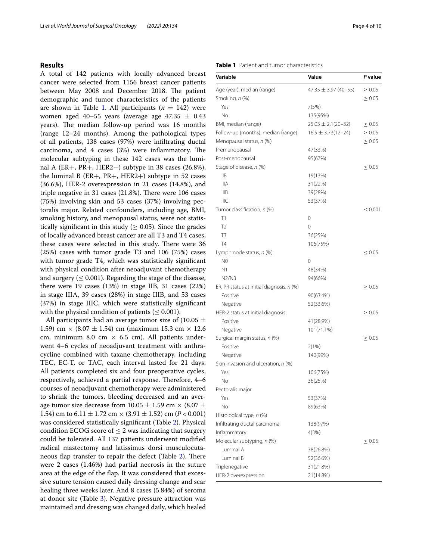### **Results**

A total of 142 patients with locally advanced breast cancer were selected from 1156 breast cancer patients between May 2008 and December 2018. The patient demographic and tumor characteristics of the patients are shown in Table [1](#page-3-0). All participants  $(n = 142)$  were women aged 40–55 years (average age 47.35  $\pm$  0.43 years). The median follow-up period was 16 months (range 12–24 months). Among the pathological types of all patients, 138 cases (97%) were infltrating ductal carcinoma, and  $4$  cases (3%) were inflammatory. The molecular subtyping in these 142 cases was the luminal A (ER+, PR+, HER2−) subtype in 38 cases (26.8%), the luminal B  $(ER+, PR+, HER2+)$  subtype in 52 cases (36.6%), HER-2 overexpression in 21 cases (14.8%), and triple negative in 31 cases  $(21.8\%)$ . There were 106 cases (75%) involving skin and 53 cases (37%) involving pectoralis major. Related confounders, including age, BMI, smoking history, and menopausal status, were not statistically significant in this study ( $\geq$  0.05). Since the grades of locally advanced breast cancer are all T3 and T4 cases, these cases were selected in this study. There were 36 (25%) cases with tumor grade T3 and 106 (75%) cases with tumor grade T4, which was statistically significant with physical condition after neoadjuvant chemotherapy and surgery ( $\leq$  0.001). Regarding the stage of the disease, there were 19 cases (13%) in stage IIB, 31 cases (22%) in stage IIIA, 39 cases (28%) in stage IIIB, and 53 cases (37%) in stage IIIC, which were statistically signifcant with the physical condition of patients ( $\leq 0.001$ ).

All participants had an average tumor size of (10.05  $\pm$ 1.59) cm  $\times$  (8.07  $\pm$  1.54) cm (maximum 15.3 cm  $\times$  12.6 cm, minimum 8.0 cm  $\times$  6.5 cm). All patients underwent 4–6 cycles of neoadjuvant treatment with anthracycline combined with taxane chemotherapy, including TEC, EC-T, or TAC, each interval lasted for 21 days. All patients completed six and four preoperative cycles, respectively, achieved a partial response. Therefore, 4–6 courses of neoadjuvant chemotherapy were administered to shrink the tumors, bleeding decreased and an average tumor size decrease from 10.05  $\pm$  1.59 cm  $\times$  (8.07  $\pm$ 1.54) cm to  $6.11 \pm 1.72$  cm  $\times$  (3.91  $\pm$  1.52) cm (*P* < 0.001) was considered statistically signifcant (Table [2](#page-4-0)). Physical condition ECOG score of  $\leq 2$  was indicating that surgery could be tolerated. All 137 patients underwent modifed radical mastectomy and latissimus dorsi musculocuta-neous flap transfer to repair the defect (Table [2\)](#page-4-0). There were 2 cases (1.46%) had partial necrosis in the suture area at the edge of the fap. It was considered that excessive suture tension caused daily dressing change and scar healing three weeks later. And 8 cases (5.84%) of seroma at donor site (Table [3](#page-4-1)). Negative pressure attraction was maintained and dressing was changed daily, which healed

### <span id="page-3-0"></span>**Table 1** Patient and tumor characteristics

| Variable                                  | Value                      | P value      |
|-------------------------------------------|----------------------------|--------------|
| Age (year), median (range)                | $47.35 \pm 3.97 (40 - 55)$ | $\geq 0.05$  |
| Smoking, n (%)                            |                            | $\geq 0.05$  |
| Yes                                       | 7(5%)                      |              |
| No                                        | 135(95%)                   |              |
| BMI, median (range)                       | $25.03 \pm 2.1(20-32)$     | $\geq 0.05$  |
| Follow-up (months), median (range)        | $16.5 \pm 3.73(12 - 24)$   | $\geq 0.05$  |
| Menopausal status, n (%)                  |                            | $\geq 0.05$  |
| Premenopausal                             | 47(33%)                    |              |
| Post-menopausal                           | 95(67%)                    |              |
| Stage of disease, n (%)                   |                            | $\leq 0.05$  |
| IIB                                       | 19(13%)                    |              |
| <b>IIIA</b>                               | 31(22%)                    |              |
| IIIB                                      | 39(28%)                    |              |
| <b>IIIC</b>                               | 53(37%)                    |              |
| Tumor classification, n (%)               |                            | $\leq 0.001$ |
| Τ1                                        | 0                          |              |
| T <sub>2</sub>                            | 0                          |              |
| T3                                        | 36(25%)                    |              |
| <b>T4</b>                                 | 106(75%)                   |              |
| Lymph node status, n (%)                  |                            | $\leq 0.05$  |
| N <sub>0</sub>                            | 0                          |              |
| N1                                        | 48(34%)                    |              |
| N2/N3                                     | 94(66%)                    |              |
| ER, PR status at initial diagnosis, n (%) |                            | $\geq 0.05$  |
| Positive                                  | 90(63.4%)                  |              |
| Negative                                  | 52(33.6%)                  |              |
| HER-2 status at initial diagnosis         |                            | $\geq 0.05$  |
| Positive                                  | 41(28.9%)                  |              |
| Negative                                  | 101(71.1%)                 |              |
| Surgical margin status, n (%)             |                            | $\geq 0.05$  |
| Positive                                  | 2(1%)                      |              |
| Negative                                  | 140(99%)                   |              |
| Skin invasion and ulceration, n (%)       |                            |              |
| Yes                                       | 106(75%)                   |              |
| No                                        | 36(25%)                    |              |
| Pectoralis major                          |                            |              |
| Yes                                       | 53(37%)                    |              |
| No                                        | 89(63%)                    |              |
| Histological type, n (%)                  |                            |              |
| Infiltrating ductal carcinoma             | 138(97%)                   |              |
| Inflammatory                              | 4(3%)                      |              |
| Molecular subtyping, n (%)                |                            | $\leq 0.05$  |
| Luminal A                                 | 38(26.8%)                  |              |
| Luminal B                                 | 52(36.6%)                  |              |
| Triplenegative                            | 31(21.8%)                  |              |
| HER-2 overexpression                      | 21(14.8%)                  |              |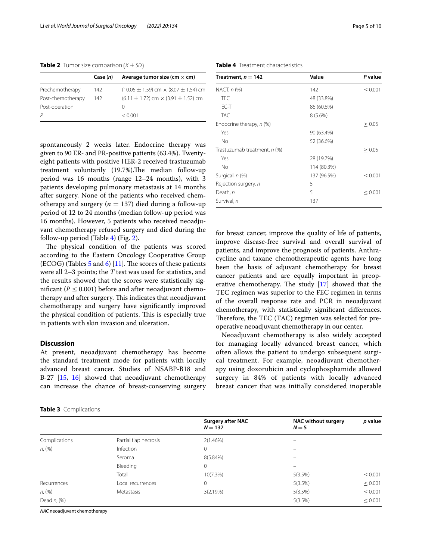<span id="page-4-0"></span>**Table 2** Tumor size comparison  $(\overline{X} \pm SD)$ 

|                   | Case (n) | Average tumor size (cm $\times$ cm)                 |
|-------------------|----------|-----------------------------------------------------|
| Prechemotherapy   | 142      | $(10.05 \pm 1.59)$ cm $\times$ (8.07 $\pm$ 1.54) cm |
| Post-chemotherapy | 142      | $(6.11 \pm 1.72)$ cm $\times$ (3.91 $\pm$ 1.52) cm  |
| Post-operation    |          | $\left( \right)$                                    |
|                   |          | < 0.001                                             |

spontaneously 2 weeks later. Endocrine therapy was given to 90 ER- and PR-positive patients (63.4%). Twentyeight patients with positive HER-2 received trastuzumab treatment voluntarily (19.7%).The median follow-up period was 16 months (range 12–24 months), with 3 patients developing pulmonary metastasis at 14 months after surgery. None of the patients who received chemotherapy and surgery ( $n = 137$ ) died during a follow-up period of 12 to 24 months (median follow-up period was 16 months). However, 5 patients who received neoadjuvant chemotherapy refused surgery and died during the follow-up period (Table  $4$ ) (Fig. [2](#page-5-0)).

The physical condition of the patients was scored according to the Eastern Oncology Cooperative Group (ECOG) (Tables  $5$  and  $6$ ) [\[11\]](#page-8-10). The scores of these patients were all 2–3 points; the *T* test was used for statistics, and the results showed that the scores were statistically significant ( $P \leq 0.001$ ) before and after neoadjuvant chemotherapy and after surgery. This indicates that neoadjuvant chemotherapy and surgery have signifcantly improved the physical condition of patients. This is especially true in patients with skin invasion and ulceration.

### **Discussion**

At present, neoadjuvant chemotherapy has become the standard treatment mode for patients with locally advanced breast cancer. Studies of NSABP-B18 and B-27 [\[15](#page-8-14), [16](#page-8-15)] showed that neoadjuvant chemotherapy can increase the chance of breast-conserving surgery

<span id="page-4-1"></span>

|  | Table 3 Complications |
|--|-----------------------|
|--|-----------------------|

### <span id="page-4-2"></span>**Table 4** Treatment characteristics

| Treatment, $n = 142$         | Value       | P value      |
|------------------------------|-------------|--------------|
| NACT, n (%)                  | 142         | $\leq 0.001$ |
| TFC.                         | 48 (33.8%)  |              |
| $FC-T$                       | 86 (60.6%)  |              |
| <b>TAC</b>                   | $8(5.6\%)$  |              |
| Endocrine therapy, n (%)     |             | $\geq 0.05$  |
| Yes                          | 90 (63.4%)  |              |
| No                           | 52 (36.6%)  |              |
| Trastuzumab treatment, n (%) |             | $\geq 0.05$  |
| Yes                          | 28 (19.7%)  |              |
| No                           | 114 (80.3%) |              |
| Surgical, n (%)              | 137 (96.5%) | $\leq 0.001$ |
| Rejection surgery, n         | 5           |              |
| Death, n                     | 5           | $\leq 0.001$ |
| Survival, n                  | 137         |              |

for breast cancer, improve the quality of life of patients, improve disease-free survival and overall survival of patients, and improve the prognosis of patients. Anthracycline and taxane chemotherapeutic agents have long been the basis of adjuvant chemotherapy for breast cancer patients and are equally important in preoperative chemotherapy. The study  $[17]$  $[17]$  showed that the TEC regimen was superior to the FEC regimen in terms of the overall response rate and PCR in neoadjuvant chemotherapy, with statistically signifcant diferences. Therefore, the TEC (TAC) regimen was selected for preoperative neoadjuvant chemotherapy in our center.

Neoadjuvant chemotherapy is also widely accepted for managing locally advanced breast cancer, which often allows the patient to undergo subsequent surgical treatment. For example, neoadjuvant chemotherapy using doxorubicin and cyclophosphamide allowed surgery in 84% of patients with locally advanced breast cancer that was initially considered inoperable

|                   |                       | <b>Surgery after NAC</b><br>$N = 137$ | <b>NAC without surgery</b><br>$N=5$ | p value      |
|-------------------|-----------------------|---------------------------------------|-------------------------------------|--------------|
|                   |                       |                                       |                                     |              |
| Complications     | Partial flap necrosis | 2(1.46%)                              | -                                   |              |
| n, (%)            | Infection             | 0                                     | $\overline{\phantom{0}}$            |              |
|                   | Seroma                | 8(5.84%)                              |                                     |              |
|                   | Bleeding              | 0                                     |                                     |              |
|                   | Total                 | $10(7.3\%)$                           | 5(3.5%)                             | $\leq 0.001$ |
| Recurrences       | Local recurrences     | 0                                     | 5(3.5%)                             | $\leq 0.001$ |
| $n, (\%)$         | Metastasis            | 3(2.19%)                              | 5(3.5%)                             | $\leq 0.001$ |
| Dead $n$ , $(\%)$ |                       |                                       | 5(3.5%)                             | $\leq 0.001$ |

*NAC* neoadjuvant chemotherapy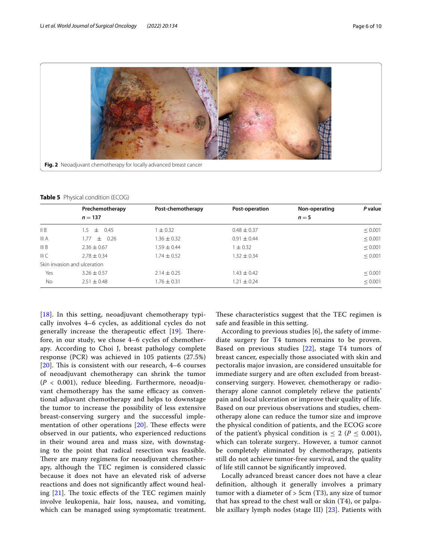

<span id="page-5-1"></span><span id="page-5-0"></span>**Table 5** Physical condition (ECOG)

|               | Prechemotherapy              | Post-chemotherapy | Post-operation  | Non-operating | P value      |  |
|---------------|------------------------------|-------------------|-----------------|---------------|--------------|--|
|               | $n = 137$                    |                   |                 | $n=5$         |              |  |
| $\parallel$ B | $+$ 0.45<br>1.5              | $\pm 0.32$        | $0.48 \pm 0.37$ |               | $\leq 0.001$ |  |
| III A         | $\pm$ 0.26<br>1.77           | $1.36 \pm 0.32$   | $0.91 \pm 0.44$ |               | $\leq 0.001$ |  |
| III B         | $2.36 \pm 0.67$              | $1.59 \pm 0.44$   | $1 \pm 0.32$    |               | $\leq 0.001$ |  |
| IIIC          | $2.78 + 0.34$                | $1.74 \pm 0.52$   | $1.32 \pm 0.34$ |               | $\leq 0.001$ |  |
|               | Skin invasion and ulceration |                   |                 |               |              |  |
| Yes           | $3.26 \pm 0.57$              | $2.14 \pm 0.25$   | $1.43 \pm 0.42$ |               | $\leq 0.001$ |  |
| <b>No</b>     | $2.51 \pm 0.48$              | $1.76 \pm 0.31$   | $1.21 \pm 0.24$ |               | $\leq 0.001$ |  |

[[18](#page-8-17)]. In this setting, neoadjuvant chemotherapy typically involves 4–6 cycles, as additional cycles do not generally increase the therapeutic effect  $[19]$  $[19]$ . Therefore, in our study, we chose 4–6 cycles of chemotherapy. According to Choi J, breast pathology complete response (PCR) was achieved in 105 patients (27.5%)  $[20]$  $[20]$  $[20]$ . This is consistent with our research, 4–6 courses of neoadjuvant chemotherapy can shrink the tumor  $(P < 0.001)$ , reduce bleeding. Furthermore, neoadjuvant chemotherapy has the same efficacy as conventional adjuvant chemotherapy and helps to downstage the tumor to increase the possibility of less extensive breast-conserving surgery and the successful implementation of other operations  $[20]$  $[20]$  $[20]$ . These effects were observed in our patients, who experienced reductions in their wound area and mass size, with downstaging to the point that radical resection was feasible. There are many regimens for neoadjuvant chemotherapy, although the TEC regimen is considered classic because it does not have an elevated risk of adverse reactions and does not signifcantly afect wound healing  $[21]$  $[21]$  $[21]$ . The toxic effects of the TEC regimen mainly involve leukopenia, hair loss, nausea, and vomiting, which can be managed using symptomatic treatment.

These characteristics suggest that the TEC regimen is safe and feasible in this setting.

According to previous studies  $[6]$  $[6]$  $[6]$ , the safety of immediate surgery for T4 tumors remains to be proven. Based on previous studies [\[22\]](#page-8-21), stage T4 tumors of breast cancer, especially those associated with skin and pectoralis major invasion, are considered unsuitable for immediate surgery and are often excluded from breastconserving surgery. However, chemotherapy or radiotherapy alone cannot completely relieve the patients' pain and local ulceration or improve their quality of life. Based on our previous observations and studies, chemotherapy alone can reduce the tumor size and improve the physical condition of patients, and the ECOG score of the patient's physical condition is  $\leq 2$  ( $P \leq 0.001$ ), which can tolerate surgery.. However, a tumor cannot be completely eliminated by chemotherapy, patients still do not achieve tumor-free survival, and the quality of life still cannot be signifcantly improved.

Locally advanced breast cancer does not have a clear defnition, although it generally involves a primary tumor with a diameter of  $>$  5cm (T3), any size of tumor that has spread to the chest wall or skin (T4), or palpable axillary lymph nodes (stage III) [\[23](#page-8-22)]. Patients with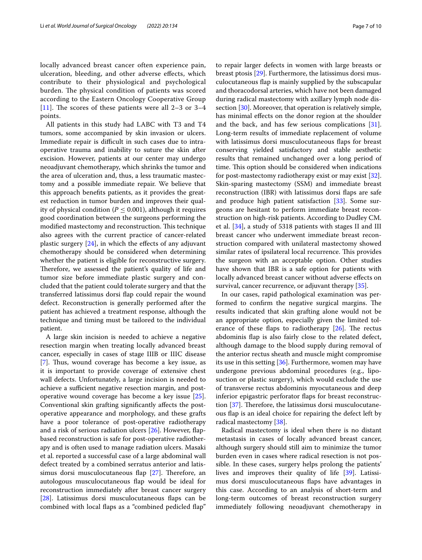locally advanced breast cancer often experience pain, ulceration, bleeding, and other adverse efects, which contribute to their physiological and psychological burden. The physical condition of patients was scored according to the Eastern Oncology Cooperative Group [[11](#page-8-10)]. The scores of these patients were all  $2-3$  or  $3-4$ points.

All patients in this study had LABC with T3 and T4 tumors, some accompanied by skin invasion or ulcers. Immediate repair is difficult in such cases due to intraoperative trauma and inability to suture the skin after excision. However, patients at our center may undergo neoadjuvant chemotherapy, which shrinks the tumor and the area of ulceration and, thus, a less traumatic mastectomy and a possible immediate repair. We believe that this approach benefts patients, as it provides the greatest reduction in tumor burden and improves their quality of physical condition ( $P \leq 0.001$ ), although it requires good coordination between the surgeons performing the modified mastectomy and reconstruction. This technique also agrees with the current practice of cancer-related plastic surgery  $[24]$  $[24]$ , in which the effects of any adjuvant chemotherapy should be considered when determining whether the patient is eligible for reconstructive surgery. Therefore, we assessed the patient's quality of life and tumor size before immediate plastic surgery and concluded that the patient could tolerate surgery and that the transferred latissimus dorsi fap could repair the wound defect. Reconstruction is generally performed after the patient has achieved a treatment response, although the technique and timing must be tailored to the individual patient.

A large skin incision is needed to achieve a negative resection margin when treating locally advanced breast cancer, especially in cases of stage IIIB or IIIC disease [[7\]](#page-8-6). Thus, wound coverage has become a key issue, as it is important to provide coverage of extensive chest wall defects. Unfortunately, a large incision is needed to achieve a sufficient negative resection margin, and postoperative wound coverage has become a key issue [\[25](#page-8-24)]. Conventional skin grafting signifcantly afects the postoperative appearance and morphology, and these grafts have a poor tolerance of post-operative radiotherapy and a risk of serious radiation ulcers [[26](#page-8-25)]. However, fapbased reconstruction is safe for post-operative radiotherapy and is often used to manage radiation ulcers. Masaki et al. reported a successful case of a large abdominal wall defect treated by a combined serratus anterior and latissimus dorsi musculocutaneous flap  $[27]$  $[27]$ . Therefore, an autologous musculocutaneous fap would be ideal for reconstruction immediately after breast cancer surgery [[28\]](#page-8-27). Latissimus dorsi musculocutaneous flaps can be combined with local faps as a "combined pedicled fap"

to repair larger defects in women with large breasts or breast ptosis [[29](#page-8-28)]. Furthermore, the latissimus dorsi musculocutaneous fap is mainly supplied by the subscapular and thoracodorsal arteries, which have not been damaged during radical mastectomy with axillary lymph node dis-section [[30](#page-8-29)]. Moreover, that operation is relatively simple, has minimal efects on the donor region at the shoulder and the back, and has few serious complications [\[31](#page-8-30)]. Long-term results of immediate replacement of volume with latissimus dorsi musculocutaneous faps for breast conserving yielded satisfactory and stable aesthetic results that remained unchanged over a long period of time. This option should be considered when indications for post-mastectomy radiotherapy exist or may exist [\[32](#page-8-31)]. Skin-sparing mastectomy (SSM) and immediate breast reconstruction (IBR) with latissimus dorsi flaps are safe and produce high patient satisfaction [\[33](#page-8-32)]. Some surgeons are hesitant to perform immediate breast reconstruction on high-risk patients. According to Dudley CM. et al. [\[34\]](#page-9-0), a study of 5318 patients with stages II and III breast cancer who underwent immediate breast reconstruction compared with unilateral mastectomy showed similar rates of ipsilateral local recurrence. This provides the surgeon with an acceptable option. Other studies have shown that IBR is a safe option for patients with locally advanced breast cancer without adverse efects on survival, cancer recurrence, or adjuvant therapy [[35\]](#page-9-1).

In our cases, rapid pathological examination was performed to confirm the negative surgical margins. The results indicated that skin grafting alone would not be an appropriate option, especially given the limited tolerance of these flaps to radiotherapy  $[26]$ . The rectus abdominis fap is also fairly close to the related defect, although damage to the blood supply during removal of the anterior rectus sheath and muscle might compromise its use in this setting [[36](#page-9-2)]. Furthermore, women may have undergone previous abdominal procedures (e.g., liposuction or plastic surgery), which would exclude the use of transverse rectus abdominis myocutaneous and deep inferior epigastric perforator faps for breast reconstruction  $[37]$  $[37]$ . Therefore, the latissimus dorsi musculocutaneous fap is an ideal choice for repairing the defect left by radical mastectomy [\[38\]](#page-9-4).

Radical mastectomy is ideal when there is no distant metastasis in cases of locally advanced breast cancer, although surgery should still aim to minimize the tumor burden even in cases where radical resection is not possible. In these cases, surgery helps prolong the patients' lives and improves their quality of life [[39](#page-9-5)]. Latissimus dorsi musculocutaneous faps have advantages in this case. According to an analysis of short-term and long-term outcomes of breast reconstruction surgery immediately following neoadjuvant chemotherapy in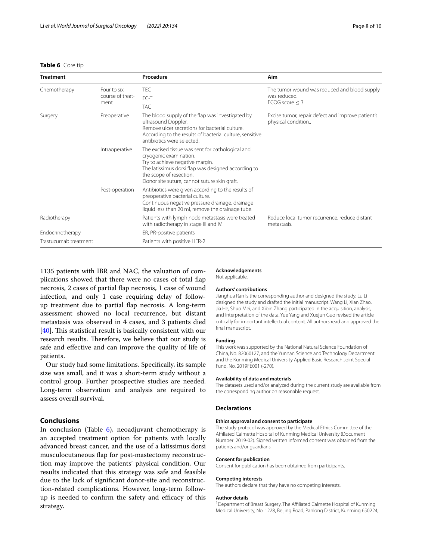### <span id="page-7-0"></span>**Table 6** Core tip

| <b>Treatment</b>      |                                         | Procedure                                                                                                                                                                                                                                       | Aim                                                                                 |
|-----------------------|-----------------------------------------|-------------------------------------------------------------------------------------------------------------------------------------------------------------------------------------------------------------------------------------------------|-------------------------------------------------------------------------------------|
| Chemotherapy          | Four to six<br>course of treat-<br>ment | <b>TEC</b><br>EC-T<br><b>TAC</b>                                                                                                                                                                                                                | The tumor wound was reduced and blood supply<br>was reduced.<br>ECOG score $\leq$ 3 |
| Surgery               | Preoperative                            | The blood supply of the flap was investigated by<br>ultrasound Doppler.<br>Remove ulcer secretions for bacterial culture.<br>According to the results of bacterial culture, sensitive<br>antibiotics were selected.                             | Excise tumor, repair defect and improve patient's<br>physical condition             |
|                       | Intraoperative                          | The excised tissue was sent for pathological and<br>cryogenic examination.<br>Try to achieve negative margin.<br>The latissimus dorsi flap was designed according to<br>the scope of resection.<br>Donor site suture, cannot suture skin graft. |                                                                                     |
|                       | Post-operation                          | Antibiotics were given according to the results of<br>preoperative bacterial culture.<br>Continuous negative pressure drainage, drainage<br>liquid less than 20 ml, remove the drainage tube.                                                   |                                                                                     |
| Radiotherapy          |                                         | Patients with lymph node metastasis were treated<br>with radiotherapy in stage III and IV.                                                                                                                                                      | Reduce local tumor recurrence, reduce distant<br>metastasis.                        |
| Endocrinotherapy      |                                         | ER, PR-positive patients                                                                                                                                                                                                                        |                                                                                     |
| Trastuzumab treatment |                                         | Patients with positive HER-2                                                                                                                                                                                                                    |                                                                                     |

1135 patients with IBR and NAC, the valuation of complications showed that there were no cases of total fap necrosis, 2 cases of partial fap necrosis, 1 case of wound infection, and only 1 case requiring delay of followup treatment due to partial fap necrosis. A long-term assessment showed no local recurrence, but distant metastasis was observed in 4 cases, and 3 patients died  $[40]$  $[40]$ . This statistical result is basically consistent with our research results. Therefore, we believe that our study is safe and efective and can improve the quality of life of patients.

Our study had some limitations. Specifcally, its sample size was small, and it was a short-term study without a control group. Further prospective studies are needed. Long-term observation and analysis are required to assess overall survival.

# **Conclusions**

In conclusion (Table [6\)](#page-7-0), neoadjuvant chemotherapy is an accepted treatment option for patients with locally advanced breast cancer, and the use of a latissimus dorsi musculocutaneous fap for post-mastectomy reconstruction may improve the patients' physical condition. Our results indicated that this strategy was safe and feasible due to the lack of signifcant donor-site and reconstruction-related complications. However, long-term followup is needed to confirm the safety and efficacy of this strategy.

### **Acknowledgements** Not applicable.

### **Authors' contributions**

Jianghua Ran is the corresponding author and designed the study. Lu Li designed the study and drafted the initial manuscript. Wang Li, Xian Zhao, Jia He, Shuo Mei, and Xibin Zhang participated in the acquisition, analysis, and interpretation of the data. Yue Yang and Xuejun Guo revised the article critically for important intellectual content. All authors read and approved the final manuscript.

### **Funding**

This work was supported by the National Natural Science Foundation of China, No. 82060127, and the Yunnan Science and Technology Department and the Kunming Medical University Applied Basic Research Joint Special Fund, No. 2019FE001 (-270).

### **Availability of data and materials**

The datasets used and/or analyzed during the current study are available from the corresponding author on reasonable request.

### **Declarations**

### **Ethics approval and consent to participate**

The study protocol was approved by the Medical Ethics Committee of the Afliated Calmette Hospital of Kunming Medical University (Document Number: 2019-02). Signed written informed consent was obtained from the patients and/or guardians.

### **Consent for publication**

Consent for publication has been obtained from participants.

### **Competing interests**

The authors declare that they have no competing interests.

### **Author details**

<sup>1</sup> Department of Breast Surgery, The Affiliated Calmette Hospital of Kunming Medical University, No. 1228, Beijing Road, Panlong District, Kunming 650224,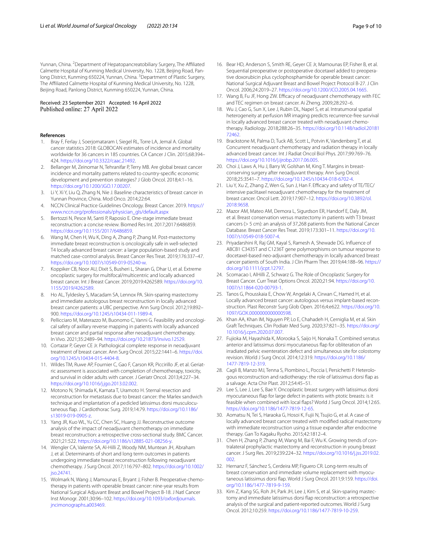Yunnan, China. <sup>2</sup> Department of Hepatopancreatobiliary Surgery, The Affiliated Calmette Hospital of Kunming Medical University, No. 1228, Beijing Road, Panlong District, Kunming 650224, Yunnan, China. <sup>3</sup> Department of Plastic Surgery, The Afliated Calmette Hospital of Kunming Medical University, No. 1228, Beijing Road, Panlong District, Kunming 650224, Yunnan, China.

### Received: 23 September 2021 Accepted: 16 April 2022 Published online: 27 April 2022

### **References**

- <span id="page-8-0"></span>Bray F, Ferlay J, Soerjomataram I, Siegel RL, Torre LA, Jemal A. Global cancer statistics 2018: GLOBOCAN estimates of incidence and mortality worldwide for 36 cancers in 185 countries. CA Cancer J Clin. 2015;68:394– 424. <https://doi.org/10.3322/caac.21492>.
- <span id="page-8-1"></span>2. Bellanger M, Zeinomar N, Tehranifar P, Terry MB. Are global breast cancer incidence and mortality patterns related to country-specifc economic development and prevention strategies? J Glob Oncol. 2018;4:1–16. [https://doi.org/10.1200/JGO.17.00207.](https://doi.org/10.1200/JGO.17.00207)
- <span id="page-8-2"></span>3. Li Y, Xi Y, Liu Q, Zhang N, Nie J. Baseline characteristics of breast cancer in Yunnan Province, China. Mod Onco. 2014;22:64.
- <span id="page-8-3"></span>4. NCCN Clinical Practice Guidelines Oncology. Breast Cancer. 2019. [https://](https://www.nccn.org/professionals/physician_gls/default.aspx) [www.nccn.org/professionals/physician\\_gls/default.aspx](https://www.nccn.org/professionals/physician_gls/default.aspx)
- <span id="page-8-4"></span>5. Bertozzi N, Pesce M, Santi P, Raposio E. One-stage immediate breast reconstruction: a concise review. Biomed Res Int. 2017;2017:6486859. <https://doi.org/10.1155/2017/6486859>.
- <span id="page-8-5"></span>6. Wang M, Chen H, Wu K, Ding A, Zhang P, Zhang M. Post-mastectomy immediate breast reconstruction is oncologically safe in well-selected T4 locally advanced breast cancer: a large population-based study and matched case-control analysis. Breast Cancer Res Treat. 2019;176:337–47. [https://doi.org/10.1007/s10549-019-05240-w.](https://doi.org/10.1007/s10549-019-05240-w)
- <span id="page-8-6"></span>7. Koppiker CB, Noor AU, Dixit S, Busheri L, Sharan G, Dhar U, et al. Extreme oncoplastic surgery for multifocal/multicentric and locally advanced breast cancer. Int J Breast Cancer. 2019;2019:4262589. [https://doi.org/10.](https://doi.org/10.1155/2019/4262589) [1155/2019/4262589.](https://doi.org/10.1155/2019/4262589)
- <span id="page-8-7"></span>8. Ho AL, Tyldesley S, Macadam SA, Lennox PA. Skin-sparing mastectomy and immediate autologous breast reconstruction in locally advanced breast cancer patients: a UBC perspective. Ann Surg Oncol. 2012;19:892– 900. [https://doi.org/10.1245/s10434-011-1989-4.](https://doi.org/10.1245/s10434-011-1989-4)
- <span id="page-8-8"></span>9. Pellicciaro M, Materazzo M, Buonomo C, Vanni G. Feasibility and oncological safety of axillary reverse mapping in patients with locally advanced breast cancer and partial response after neoadjuvant chemotherapy. In Vivo. 2021;35:2489–94.<https://doi.org/10.21873/invivo.12529>.
- <span id="page-8-9"></span>10. Cortazar P, Geyer CE Jr. Pathological complete response in neoadjuvant treatment of breast cancer. Ann Surg Oncol. 2015;22:1441–6. [https://doi.](https://doi.org/10.1245/s10434-015-4404-8) [org/10.1245/s10434-015-4404-8.](https://doi.org/10.1245/s10434-015-4404-8)
- <span id="page-8-10"></span>11. Wildes TM, Ruwe AP, Fournier C, Gao F, Carson KR, Piccirillo JF, et al. Geriatric assessment is associated with completion of chemotherapy, toxicity, and survival in older adults with cancer. J Geriatr Oncol. 2013;4:227–34. [https://doi.org/10.1016/j.jgo.2013.02.002.](https://doi.org/10.1016/j.jgo.2013.02.002)
- <span id="page-8-11"></span>12. Motono N, Shimada K, Kamata T, Uramoto H. Sternal resection and reconstruction for metastasis due to breast cancer: the Marlex sandwich technique and implantation of a pedicled latissimus dorsi musculocutaneous fap. J Cardiothorac Surg. 2019;14:79. [https://doi.org/10.1186/](https://doi.org/10.1186/s13019-019-0905-z) [s13019-019-0905-z](https://doi.org/10.1186/s13019-019-0905-z).
- <span id="page-8-12"></span>13. Yang JR, Kuo WL, Yu CC, Chen SC, Huang JJ. Reconstructive outcome analysis of the impact of neoadjuvant chemotherapy on immediate breast reconstruction: a retrospective cross-sectional study. BMC Cancer. 2021;21:522.<https://doi.org/10.1186/s12885-021-08256-y>.
- <span id="page-8-13"></span>14. Wengler CA, Valente SA, Al-Hilli Z, Woody NM, Muntean JH, Abraham J, et al. Determinants of short and long term outcomes in patients undergoing immediate breast reconstruction following neoadjuvant chemotherapy. J Surg Oncol. 2017;116:797–802. [https://doi.org/10.1002/](https://doi.org/10.1002/jso.24741) [jso.24741.](https://doi.org/10.1002/jso.24741)
- <span id="page-8-14"></span>15. Wolmark N, Wang J, Mamounas E, Bryant J, Fisher B. Preoperative chemotherapy in patients with operable breast cancer: nine-year results from National Surgical Adjuvant Breast and Bowel Project B-18. J Natl Cancer Inst Monogr. 2001;30:96–102. [https://doi.org/10.1093/oxfordjournals.](https://doi.org/10.1093/oxfordjournals.jncimonographs.a003469) [jncimonographs.a003469.](https://doi.org/10.1093/oxfordjournals.jncimonographs.a003469)
- <span id="page-8-15"></span>16. Bear HD, Anderson S, Smith RE, Geyer CE Jr, Mamounas EP, Fisher B, et al. Sequential preoperative or postoperative docetaxel added to preoperative doxorubicin plus cyclophosphamide for operable breast cancer: National Surgical Adjuvant Breast and Bowel Project Protocol B-27. J Clin Oncol. 2006;24:2019–27. [https://doi.org/10.1200/JCO.2005.04.1665.](https://doi.org/10.1200/JCO.2005.04.1665)
- <span id="page-8-16"></span>17. Wang B, Fu JF, Hong ZW. Efficacy of neoadjuvant chemotherapy with FEC and TEC regimen on breast cancer. Ai Zheng. 2009;28:292–6.
- <span id="page-8-17"></span>18. Wu J, Cao G, Sun X, Lee J, Rubin DL, Napel S, et al. Intratumoral spatial heterogeneity at perfusion MR imaging predicts recurrence-free survival in locally advanced breast cancer treated with neoadjuvant chemotherapy. Radiology. 2018;288:26–35. [https://doi.org/10.1148/radiol.20181](https://doi.org/10.1148/radiol.2018172462) [72462](https://doi.org/10.1148/radiol.2018172462).
- <span id="page-8-18"></span>19. Brackstone M, Palma D, Tuck AB, Scott L, Potvin K, Vandenberg T, et al. Concurrent neoadjuvant chemotherapy and radiation therapy in locally advanced breast cancer. Int J Radiat Oncol Biol Phys. 2017;99:769–76. [https://doi.org/10.1016/j.ijrobp.2017.06.005.](https://doi.org/10.1016/j.ijrobp.2017.06.005)
- <span id="page-8-19"></span>20. Choi J, Laws A, Hu J, Barry W, Golshan M, King T. Margins in breastconserving surgery after neoadjuvant therapy. Ann Surg Oncol. 2018;25:3541–7.<https://doi.org/10.1245/s10434-018-6702-4>.
- <span id="page-8-20"></span>21. Liu Y, Xu Z, Zhang Z, Wen G, Sun J, Han F. Efficacy and safety of TE/TEC/ intensive paclitaxel neoadjuvant chemotherapy for the treatment of breast cancer. Oncol Lett. 2019;17:907–12. [https://doi.org/10.3892/ol.](https://doi.org/10.3892/ol.2018.9658) [2018.9658](https://doi.org/10.3892/ol.2018.9658).
- <span id="page-8-21"></span>22. Mazor AM, Mateo AM, Demora L, Sigurdson ER, Handorf E, Daly JM, et al. Breast conservation versus mastectomy in patients with T3 breast cancers (> 5 cm): an analysis of 37,268 patients from the National Cancer Database. Breast Cancer Res Treat. 2019;173:301–11. [https://doi.org/10.](https://doi.org/10.1007/s10549-018-5007-4) [1007/s10549-018-5007-4](https://doi.org/10.1007/s10549-018-5007-4).
- <span id="page-8-22"></span>23. Priyadarshini R, Raj GM, Kayal S, Ramesh A, Shewade DG. Infuence of ABCB1 C3435T and C1236T gene polymorphisms on tumour response to docetaxel-based neo-adjuvant chemotherapy in locally advanced breast cancer patients of South India. J Clin Pharm Ther. 2019;44:188–96. [https://](https://doi.org/10.1111/jcpt.12797) [doi.org/10.1111/jcpt.12797](https://doi.org/10.1111/jcpt.12797).
- <span id="page-8-23"></span>24. Scomacao I, AlHilli Z, Schwarz G. The Role of Oncoplastic Surgery for Breast Cancer. Curr Treat Options Oncol. 2020;21:94. [https://doi.org/10.](https://doi.org/10.1007/s11864-020-00793-1) [1007/s11864-020-00793-1.](https://doi.org/10.1007/s11864-020-00793-1)
- <span id="page-8-24"></span>25. Tanos G, Prousskaia E, Chow W, Angelaki A, Cirwan C, Hamed H, et al. Locally advanced breast cancer: autologous versus implant-based reconstruction. Plast Reconstr Surg Glob Open. 2016;4:e622. [https://doi.org/10.](https://doi.org/10.1097/GOX.0000000000000598) [1097/GOX.0000000000000598](https://doi.org/10.1097/GOX.0000000000000598).
- <span id="page-8-25"></span>26. Khan AA, Khan IM, Nguyen PP, Lo E, Chahadeh H, Cerniglia M, et al. Skin Graft Techniques. Clin Podiatr Med Surg. 2020;37:821–35. [https://doi.org/](https://doi.org/10.1016/j.cpm.2020.07.007) [10.1016/j.cpm.2020.07.007.](https://doi.org/10.1016/j.cpm.2020.07.007)
- <span id="page-8-26"></span>27. Fujioka M, Hayashida K, Morooka S, Saijo H, Nonaka T. Combined serratus anterior and latissimus dorsi myocutaneous fap for obliteration of an irradiated pelvic exenteration defect and simultaneous site for colostomy revision. World J Surg Oncol. 2014;12:319. [https://doi.org/10.1186/](https://doi.org/10.1186/1477-7819-12-319) [1477-7819-12-319](https://doi.org/10.1186/1477-7819-12-319).
- <span id="page-8-27"></span>28. Cagli B, Manzo MJ, Tenna S, Piombino L, Poccia I, Persichetti P. Heterologous reconstruction and radiotherapy: the role of latissimus dorsi fap as a salvage. Acta Chir Plast. 2012;54:45–51.
- <span id="page-8-28"></span>29. Lee S, Lee J, Lee S, Bae Y. Oncoplastic breast surgery with latissimus dorsi myocutaneous fap for large defect in patients with ptotic breasts: is it feasible when combined with local faps? World J Surg Oncol. 2014;12:65. <https://doi.org/10.1186/1477-7819-12-65>.
- <span id="page-8-29"></span>30. Aomatsu N, Tei S, Haraoka G, Hosoi K, Fujii N, Tsujio G, et al. A case of locally advanced breast cancer treated with modifed radical mastectomy with immediate reconstruction using a tissue expander after endocrine therapy. Gan To Kagaku Ryoho. 2015;42:1812–4.
- <span id="page-8-30"></span>31. Chen H, Zhang P, Zhang M, Wang M, Bai F, Wu K. Growing trends of contralateral prophylactic mastectomy and reconstruction in young breast cancer. J Surg Res. 2019;239:224–32. [https://doi.org/10.1016/j.jss.2019.02.](https://doi.org/10.1016/j.jss.2019.02.002) [002.](https://doi.org/10.1016/j.jss.2019.02.002)
- <span id="page-8-31"></span>32. Hernanz F, Sánchez S, Cerdeira MP, Figuero CR. Long-term results of breast conservation and immediate volume replacement with myocutaneous latissimus dorsi fap. World J Surg Oncol. 2011;9:159. [https://doi.](https://doi.org/10.1186/1477-7819-9-159) [org/10.1186/1477-7819-9-159](https://doi.org/10.1186/1477-7819-9-159).
- <span id="page-8-32"></span>33. Kim Z, Kang SG, Roh JH, Park JH, Lee J, Kim S, et al. Skin-sparing mastectomy and immediate latissimus dorsi fap reconstruction: a retrospective analysis of the surgical and patient-reported outcomes. World J Surg Oncol. 2012;10:259.<https://doi.org/10.1186/1477-7819-10-259>.